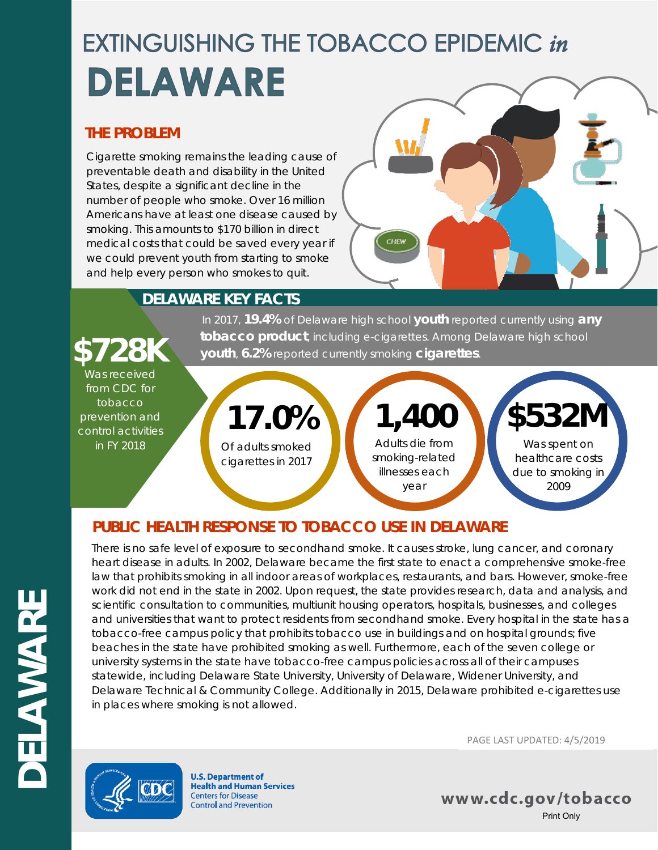# **EXTINGUISHING THE TOBACCO EPIDEMIC in** DELAWARE

#### **THE PROBLEM**

Cigarette smoking remains the leading cause of preventable death and disability in the United States, despite a significant decline in the number of people who smoke. Over 16 million Americans have at least one disease caused by smoking. This amounts to \$170 billion in direct medical costs that could be saved every year if we could prevent youth from starting to smoke and help every person who smokes to quit.



# **DELAWARE KEY FACTS**

# In 2017, **19.4%** of Delaware high school **youth** reported currently using **any fobacco product**, including e-cigarettes. Among Delaware high school **\$728K vouth**, 6.2% reported currently smoking **cigarettes**.

Was received from CDC for tobacco prevention and control activities in FY 2018

Of adults smoked cigarettes in 2017 **17.0%** Adults die from smoking-related illnesses each year **1,400**

# **PUBLIC HEALTH RESPONSE TO TOBACCO USE IN DELAWARE**

There is no safe level of exposure to secondhand smoke. It causes stroke, lung cancer, and coronary heart disease in adults. In 2002, Delaware became the first state to enact a comprehensive smoke-free law that prohibits smoking in all indoor areas of workplaces, restaurants, and bars. However, smoke-free work did not end in the state in 2002. Upon request, the state provides research, data and analysis, and scientific consultation to communities, multiunit housing operators, hospitals, businesses, and colleges and universities that want to protect residents from secondhand smoke. Every hospital in the state has a tobacco-free campus policy that prohibits tobacco use in buildings and on hospital grounds; five beaches in the state have prohibited smoking as well. Furthermore, each of the seven college or university systems in the state have tobacco-free campus policies across all of their campuses statewide, including Delaware State University, University of Delaware, Widener University, and Delaware Technical & Community College. Additionally in 2015, Delaware prohibited e-cigarettes use in places where smoking is not allowed.



**U.S. Department of Health and Human Services Centers for Disease Control and Prevention** 

PAGE LAST UPDATED: 4/5/2019

Was spent on healthcare costs due to smoking in 2009

**\$532M**

www.cdc.gov/tobacco Print Only